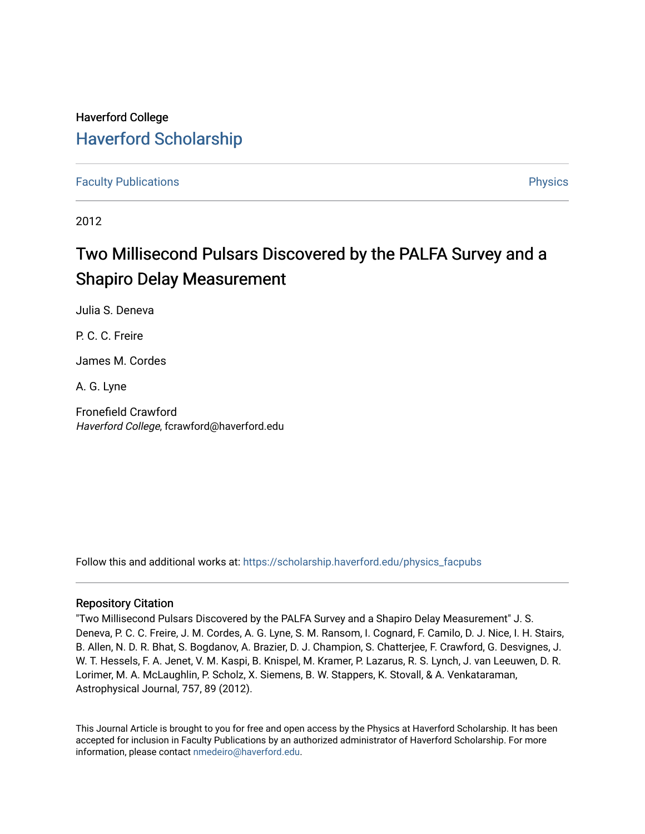## Haverford College [Haverford Scholarship](https://scholarship.haverford.edu/)

[Faculty Publications](https://scholarship.haverford.edu/physics_facpubs) **Physics** 

2012

# Two Millisecond Pulsars Discovered by the PALFA Survey and a Shapiro Delay Measurement

Julia S. Deneva

P. C. C. Freire

James M. Cordes

A. G. Lyne

Fronefield Crawford Haverford College, fcrawford@haverford.edu

Follow this and additional works at: [https://scholarship.haverford.edu/physics\\_facpubs](https://scholarship.haverford.edu/physics_facpubs?utm_source=scholarship.haverford.edu%2Fphysics_facpubs%2F375&utm_medium=PDF&utm_campaign=PDFCoverPages) 

## Repository Citation

"Two Millisecond Pulsars Discovered by the PALFA Survey and a Shapiro Delay Measurement" J. S. Deneva, P. C. C. Freire, J. M. Cordes, A. G. Lyne, S. M. Ransom, I. Cognard, F. Camilo, D. J. Nice, I. H. Stairs, B. Allen, N. D. R. Bhat, S. Bogdanov, A. Brazier, D. J. Champion, S. Chatterjee, F. Crawford, G. Desvignes, J. W. T. Hessels, F. A. Jenet, V. M. Kaspi, B. Knispel, M. Kramer, P. Lazarus, R. S. Lynch, J. van Leeuwen, D. R. Lorimer, M. A. McLaughlin, P. Scholz, X. Siemens, B. W. Stappers, K. Stovall, & A. Venkataraman, Astrophysical Journal, 757, 89 (2012).

This Journal Article is brought to you for free and open access by the Physics at Haverford Scholarship. It has been accepted for inclusion in Faculty Publications by an authorized administrator of Haverford Scholarship. For more information, please contact [nmedeiro@haverford.edu.](mailto:nmedeiro@haverford.edu)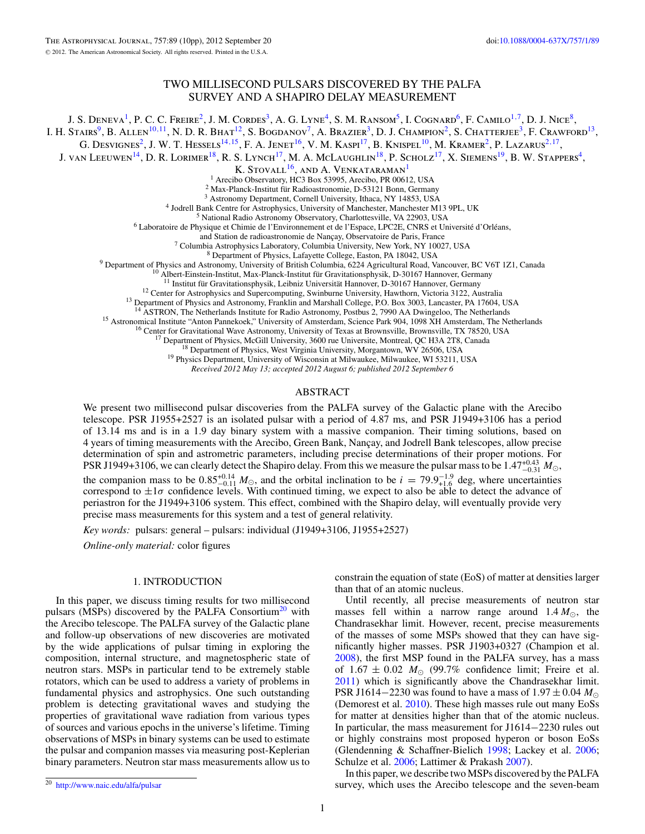## TWO MILLISECOND PULSARS DISCOVERED BY THE PALFA SURVEY AND A SHAPIRO DELAY MEASUREMENT

J. S. Deneva<sup>1</sup>, P. C. C. Freire<sup>2</sup>, J. M. Cordes<sup>3</sup>, A. G. Lyne<sup>4</sup>, S. M. Ransom<sup>5</sup>, I. Cognard<sup>6</sup>, F. Camilo<sup>1,7</sup>, D. J. Nice<sup>8</sup>,

I. H. Stairs<sup>9</sup>, B. Allen<sup>10,11</sup>, N. D. R. Bhat<sup>12</sup>, S. Bogdanov<sup>7</sup>, A. Brazier<sup>3</sup>, D. J. Champion<sup>2</sup>, S. Chatterjee<sup>3</sup>, F. Crawford<sup>13</sup>,

G. Desvignes<sup>2</sup>, J. W. T. Hessels<sup>14,15</sup>, F. A. Jenet<sup>16</sup>, V. M. Kaspi<sup>17</sup>, B. Knispel<sup>10</sup>, M. Kramer<sup>2</sup>, P. Lazarus<sup>2,17</sup>,

J. VAN LEEUWEN<sup>14</sup>, D. R. LORIMER<sup>18</sup>, R. S. LYNCH<sup>17</sup>, M. A. MCLAUGHLIN<sup>18</sup>, P. SCHOLZ<sup>17</sup>, X. SIEMENS<sup>19</sup>, B. W. STAPPERS<sup>4</sup>,

K. STOVALL<sup>16</sup>, AND A. VENKATARAMAN<sup>1</sup><br><sup>1</sup> Arecibo Observatory, HC3 Box 53995, Arecibo, PR 00612, USA

<sup>2</sup> Max-Planck-Institut für Radioastronomie, D-53121 Bonn, Germany<br><sup>3</sup> Astronomy Department, Cornell University, Ithaca, NY 14853, USA<br><sup>4</sup> Jodrell Bank Centre for Astrophysics, University of Manchester, Manchester M13 9PL

<sup>7</sup> Columbia Astrophysics Laboratory, Columbia University, New York, NY 10027, USA<br><sup>8</sup> Department of Physics and Astronomy, University of British Columbia, 6224 Agricultural Road, Vancouver, BC V6T 1Z1, Canada<br><sup>9</sup> Departm

<sup>15</sup> Astronomical Institute "Anton Pannekoek," University of Amsterdam, Science Park 904, 1098 XH Amsterdam, The Netherlands<br><sup>16</sup> Center for Gravitational Wave Astronomy, University of Texas at Brownsville, Brownsville, T

*Received 2012 May 13; accepted 2012 August 6; published 2012 September 6*

#### ABSTRACT

We present two millisecond pulsar discoveries from the PALFA survey of the Galactic plane with the Arecibo telescope. PSR J1955+2527 is an isolated pulsar with a period of 4.87 ms, and PSR J1949+3106 has a period of 13.14 ms and is in a 1.9 day binary system with a massive companion. Their timing solutions, based on 4 years of timing measurements with the Arecibo, Green Bank, Nançay, and Jodrell Bank telescopes, allow precise determination of spin and astrometric parameters, including precise determinations of their proper motions. For PSR J1949+3106, we can clearly detect the Shapiro delay. From this we measure the pulsar mass to be 1.47 $^{+0.43}_{-0.31}$   $M_{\odot}$ , the companion mass to be  $0.85^{+0.14}_{-0.11} M_{\odot}$ , and the orbital inclination to be  $i = 79.9^{+1.9}_{+1.6}$  deg, where uncertainties correspond to  $\pm 1\sigma$  confidence levels. With continued timing, we expect to also be able to detect the advance of periastron for the J1949+3106 system. This effect, combined with the Shapiro delay, will eventually provide very precise mass measurements for this system and a test of general relativity.

*Key words:* pulsars: general – pulsars: individual (J1949+3106, J1955+2527)

*Online-only material:* color figures

#### 1. INTRODUCTION

In this paper, we discuss timing results for two millisecond pulsars (MSPs) discovered by the PALFA Consortium<sup>20</sup> with the Arecibo telescope. The PALFA survey of the Galactic plane and follow-up observations of new discoveries are motivated by the wide applications of pulsar timing in exploring the composition, internal structure, and magnetospheric state of neutron stars. MSPs in particular tend to be extremely stable rotators, which can be used to address a variety of problems in fundamental physics and astrophysics. One such outstanding problem is detecting gravitational waves and studying the properties of gravitational wave radiation from various types of sources and various epochs in the universe's lifetime. Timing observations of MSPs in binary systems can be used to estimate the pulsar and companion masses via measuring post-Keplerian binary parameters. Neutron star mass measurements allow us to

Until recently, all precise measurements of neutron star masses fell within a narrow range around  $1.4 M_{\odot}$ , the Chandrasekhar limit. However, recent, precise measurements of the masses of some MSPs showed that they can have significantly higher masses. PSR J1903+0327 (Champion et al. [2008\)](#page-10-0), the first MSP found in the PALFA survey, has a mass of  $1.67 \pm 0.02$   $M_{\odot}$  (99.7% confidence limit; Freire et al. [2011\)](#page-10-0) which is significantly above the Chandrasekhar limit. PSR J1614−2230 was found to have a mass of  $1.97 \pm 0.04$  *M*<sub>☉</sub> (Demorest et al. [2010\)](#page-10-0). These high masses rule out many EoSs for matter at densities higher than that of the atomic nucleus. In particular, the mass measurement for J1614−2230 rules out or highly constrains most proposed hyperon or boson EoSs (Glendenning & Schaffner-Bielich [1998;](#page-10-0) Lackey et al. [2006;](#page-10-0) Schulze et al. [2006;](#page-10-0) Lattimer & Prakash [2007\)](#page-10-0).

In this paper, we describe two MSPs discovered by the PALFA survey, which uses the Arecibo telescope and the seven-beam

constrain the equation of state (EoS) of matter at densities larger than that of an atomic nucleus.

<sup>20</sup> <http://www.naic.edu/alfa/pulsar>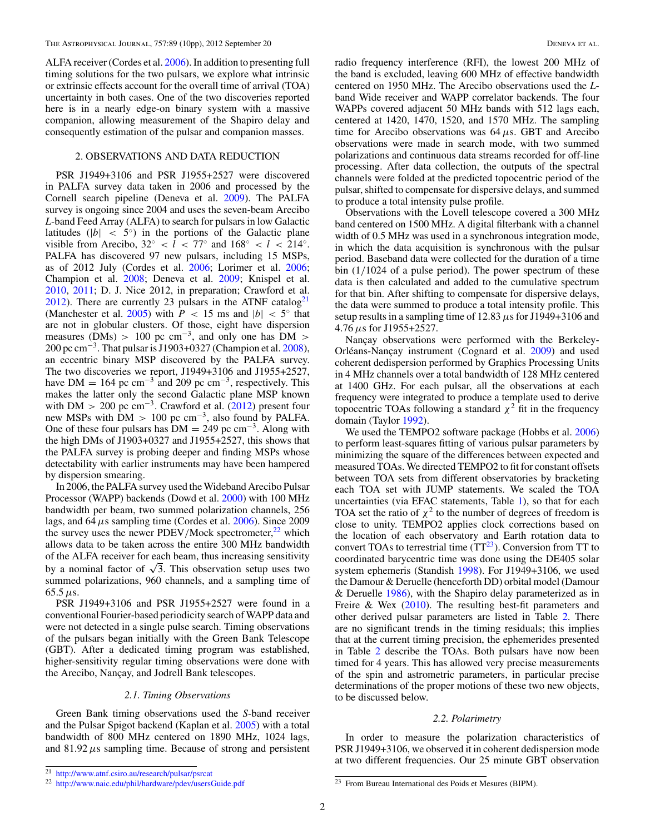ALFA receiver (Cordes et al. [2006\)](#page-10-0). In addition to presenting full timing solutions for the two pulsars, we explore what intrinsic or extrinsic effects account for the overall time of arrival (TOA) uncertainty in both cases. One of the two discoveries reported here is in a nearly edge-on binary system with a massive companion, allowing measurement of the Shapiro delay and consequently estimation of the pulsar and companion masses.

## 2. OBSERVATIONS AND DATA REDUCTION

PSR J1949+3106 and PSR J1955+2527 were discovered in PALFA survey data taken in 2006 and processed by the Cornell search pipeline (Deneva et al. [2009\)](#page-10-0). The PALFA survey is ongoing since 2004 and uses the seven-beam Arecibo *L*-band Feed Array (ALFA) to search for pulsars in low Galactic latitudes ( $|b| < 5^\circ$ ) in the portions of the Galactic plane visible from Arecibo,  $32° < l < 77°$  and  $168° < l < 214°$ . PALFA has discovered 97 new pulsars, including 15 MSPs, as of 2012 July (Cordes et al. [2006;](#page-10-0) Lorimer et al. [2006;](#page-10-0) Champion et al. [2008;](#page-10-0) Deneva et al. [2009;](#page-10-0) Knispel et al. [2010,](#page-10-0) [2011;](#page-10-0) D. J. Nice 2012, in preparation; Crawford et al. [2012\)](#page-10-0). There are currently 23 pulsars in the ATNF catalog<sup>21</sup> (Manchester et al. [2005\)](#page-10-0) with  $P < 15$  ms and  $|b| < 5^\circ$  that are not in globular clusters. Of those, eight have dispersion measures (DMs) > 100 pc cm<sup>-3</sup>, and only one has DM > 200 pc cm<sup>-3</sup>. That pulsar is J1903+0327 (Champion et al.  $2008$ ), an eccentric binary MSP discovered by the PALFA survey. The two discoveries we report, J1949+3106 and J1955+2527, have DM = 164 pc cm<sup>-3</sup> and 209 pc cm<sup>-3</sup>, respectively. This makes the latter only the second Galactic plane MSP known with DM  $>$  200 pc cm<sup>-3</sup>. Crawford et al. [\(2012\)](#page-10-0) present four new MSPs with DM *>* 100 pc cm−3, also found by PALFA. One of these four pulsars has  $DM = 249$  pc cm<sup>-3</sup>. Along with the high DMs of J1903+0327 and J1955+2527, this shows that the PALFA survey is probing deeper and finding MSPs whose detectability with earlier instruments may have been hampered by dispersion smearing.

In 2006, the PALFA survey used the Wideband Arecibo Pulsar Processor (WAPP) backends (Dowd et al. [2000\)](#page-10-0) with 100 MHz bandwidth per beam, two summed polarization channels, 256 lags, and 64*μ*s sampling time (Cordes et al. [2006\)](#page-10-0). Since 2009 the survey uses the newer PDEV/Mock spectrometer,<sup>22</sup> which allows data to be taken across the entire 300 MHz bandwidth of the ALFA receiver for each beam, thus increasing sensitivity by a nominal factor of  $\sqrt{3}$ . This observation setup uses two summed polarizations, 960 channels, and a sampling time of 65.5*μ*s.

PSR J1949+3106 and PSR J1955+2527 were found in a conventional Fourier-based periodicity search of WAPP data and were not detected in a single pulse search. Timing observations of the pulsars began initially with the Green Bank Telescope (GBT). After a dedicated timing program was established, higher-sensitivity regular timing observations were done with the Arecibo, Nançay, and Jodrell Bank telescopes.

#### *2.1. Timing Observations*

Green Bank timing observations used the *S*-band receiver and the Pulsar Spigot backend (Kaplan et al. [2005\)](#page-10-0) with a total bandwidth of 800 MHz centered on 1890 MHz, 1024 lags, and  $81.92 \mu s$  sampling time. Because of strong and persistent radio frequency interference (RFI), the lowest 200 MHz of the band is excluded, leaving 600 MHz of effective bandwidth centered on 1950 MHz. The Arecibo observations used the *L*band Wide receiver and WAPP correlator backends. The four WAPPs covered adjacent 50 MHz bands with 512 lags each, centered at 1420, 1470, 1520, and 1570 MHz. The sampling time for Arecibo observations was 64*μ*s. GBT and Arecibo observations were made in search mode, with two summed polarizations and continuous data streams recorded for off-line processing. After data collection, the outputs of the spectral channels were folded at the predicted topocentric period of the pulsar, shifted to compensate for dispersive delays, and summed to produce a total intensity pulse profile.

Observations with the Lovell telescope covered a 300 MHz band centered on 1500 MHz. A digital filterbank with a channel width of 0.5 MHz was used in a synchronous integration mode, in which the data acquisition is synchronous with the pulsar period. Baseband data were collected for the duration of a time bin (1*/*1024 of a pulse period). The power spectrum of these data is then calculated and added to the cumulative spectrum for that bin. After shifting to compensate for dispersive delays, the data were summed to produce a total intensity profile. This setup results in a sampling time of 12.83*μ*s for J1949+3106 and 4.76*μ*s for J1955+2527.

Nançay observations were performed with the Berkeley-Orléans-Nançay instrument (Cognard et al. [2009\)](#page-10-0) and used coherent dedispersion performed by Graphics Processing Units in 4 MHz channels over a total bandwidth of 128 MHz centered at 1400 GHz. For each pulsar, all the observations at each frequency were integrated to produce a template used to derive topocentric TOAs following a standard  $\chi^2$  fit in the frequency domain (Taylor [1992\)](#page-10-0).

We used the TEMPO2 software package (Hobbs et al. [2006\)](#page-10-0) to perform least-squares fitting of various pulsar parameters by minimizing the square of the differences between expected and measured TOAs. We directed TEMPO2 to fit for constant offsets between TOA sets from different observatories by bracketing each TOA set with JUMP statements. We scaled the TOA uncertainties (via EFAC statements, Table [1\)](#page-3-0), so that for each TOA set the ratio of  $\chi^2$  to the number of degrees of freedom is close to unity. TEMPO2 applies clock corrections based on the location of each observatory and Earth rotation data to convert TOAs to terrestrial time  $(TT^{23})$ . Conversion from TT to coordinated barycentric time was done using the DE405 solar system ephemeris (Standish [1998\)](#page-10-0). For J1949+3106, we used the Damour & Deruelle (henceforth DD) orbital model (Damour & Deruelle [1986\)](#page-10-0), with the Shapiro delay parameterized as in Freire & Wex [\(2010\)](#page-10-0). The resulting best-fit parameters and other derived pulsar parameters are listed in Table [2.](#page-4-0) There are no significant trends in the timing residuals; this implies that at the current timing precision, the ephemerides presented in Table [2](#page-4-0) describe the TOAs. Both pulsars have now been timed for 4 years. This has allowed very precise measurements of the spin and astrometric parameters, in particular precise determinations of the proper motions of these two new objects, to be discussed below.

#### *2.2. Polarimetry*

In order to measure the polarization characteristics of PSR J1949+3106, we observed it in coherent dedispersion mode at two different frequencies. Our 25 minute GBT observation

<sup>21</sup> <http://www.atnf.csiro.au/research/pulsar/psrcat>

<sup>22</sup> <http://www.naic.edu/phil/hardware/pdev/usersGuide.pdf>

 $\overline{^{23}}$  From Bureau International des Poids et Mesures (BIPM).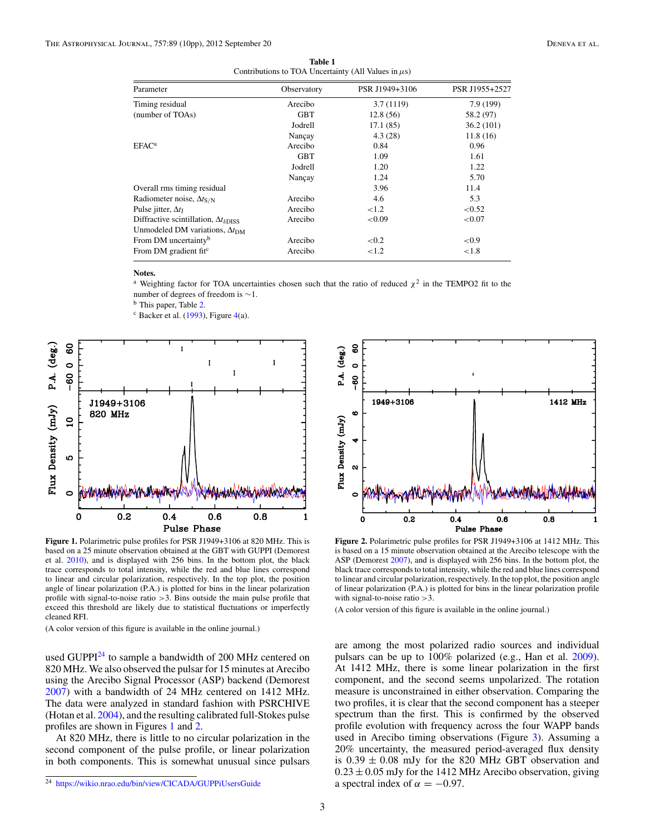<span id="page-3-0"></span>

| Parameter                                                 | Observatory | PSR J1949+3106 | PSR J1955+2527 |
|-----------------------------------------------------------|-------------|----------------|----------------|
| Timing residual                                           | Arecibo     | 3.7(1119)      | 7.9 (199)      |
| (number of TOAs)                                          | GBT         | 12.8(56)       | 58.2 (97)      |
|                                                           | Jodrell     | 17.1(85)       | 36.2(101)      |
|                                                           | Nançay      | 4.3(28)        | 11.8(16)       |
| $EFAC^a$                                                  | Arecibo     | 0.84           | 0.96           |
|                                                           | <b>GBT</b>  | 1.09           | 1.61           |
|                                                           | Jodrell     | 1.20           | 1.22           |
|                                                           | Nançay      | 1.24           | 5.70           |
| Overall rms timing residual                               |             | 3.96           | 11.4           |
| Radiometer noise, $\Delta t_{S/N}$                        | Arecibo     | 4.6            | 5.3            |
| Pulse jitter, $\Delta t_1$                                | Arecibo     | ${<}1.2$       | < 0.52         |
| Diffractive scintillation, $\Delta t_{\delta\text{DISS}}$ | Arecibo     | < 0.09         | ${<}0.07$      |
| Unmodeled DM variations, $\Delta t_{DM}$                  |             |                |                |
| From DM uncertainty <sup>b</sup>                          | Arecibo     | ${<}0.2$       | ${<}0.9$       |
| From DM gradient fit <sup>c</sup>                         | Arecibo     | ${<}1.2$       | ${<}1.8$       |
|                                                           |             |                |                |

**Table 1** Contributions to TOA Uncertainty (All Values in*μ*s)

#### **Notes.**

<sup>a</sup> Weighting factor for TOA uncertainties chosen such that the ratio of reduced  $\chi^2$  in the TEMPO2 fit to the

number of degrees of freedom is  $\sim$ 1.<br><sup>b</sup> This paper, Table [2.](#page-4-0)

 $c$  Backer et al. [\(1993\)](#page-10-0), Figure [4\(](#page-5-0)a).



**Figure 1.** Polarimetric pulse profiles for PSR J1949+3106 at 820 MHz. This is based on a 25 minute observation obtained at the GBT with GUPPI (Demorest et al. [2010\)](#page-10-0), and is displayed with 256 bins. In the bottom plot, the black trace corresponds to total intensity, while the red and blue lines correspond to linear and circular polarization, respectively. In the top plot, the position angle of linear polarization (P.A.) is plotted for bins in the linear polarization profile with signal-to-noise ratio *>*3. Bins outside the main pulse profile that exceed this threshold are likely due to statistical fluctuations or imperfectly cleaned RFI.

(A color version of this figure is available in the online journal.)

used GUPPI<sup>24</sup> to sample a bandwidth of 200 MHz centered on 820 MHz. We also observed the pulsar for 15 minutes at Arecibo using the Arecibo Signal Processor (ASP) backend (Demorest [2007\)](#page-10-0) with a bandwidth of 24 MHz centered on 1412 MHz. The data were analyzed in standard fashion with PSRCHIVE (Hotan et al. [2004\)](#page-10-0), and the resulting calibrated full-Stokes pulse profiles are shown in Figures 1 and 2.

At 820 MHz, there is little to no circular polarization in the second component of the pulse profile, or linear polarization in both components. This is somewhat unusual since pulsars



**Figure 2.** Polarimetric pulse profiles for PSR J1949+3106 at 1412 MHz. This is based on a 15 minute observation obtained at the Arecibo telescope with the ASP (Demorest [2007\)](#page-10-0), and is displayed with 256 bins. In the bottom plot, the black trace corresponds to total intensity, while the red and blue lines correspond to linear and circular polarization, respectively. In the top plot, the position angle of linear polarization (P.A.) is plotted for bins in the linear polarization profile with signal-to-noise ratio *>*3.

(A color version of this figure is available in the online journal.)

are among the most polarized radio sources and individual pulsars can be up to 100% polarized (e.g., Han et al. [2009\)](#page-10-0). At 1412 MHz, there is some linear polarization in the first component, and the second seems unpolarized. The rotation measure is unconstrained in either observation. Comparing the two profiles, it is clear that the second component has a steeper spectrum than the first. This is confirmed by the observed profile evolution with frequency across the four WAPP bands used in Arecibo timing observations (Figure [3\)](#page-5-0). Assuming a 20% uncertainty, the measured period-averaged flux density is  $0.39 \pm 0.08$  mJy for the 820 MHz GBT observation and  $0.23 \pm 0.05$  mJy for the 1412 MHz Arecibo observation, giving a spectral index of  $\alpha = -0.97$ .

<sup>24</sup> <https://wikio.nrao.edu/bin/view/CICADA/GUPPiUsersGuide>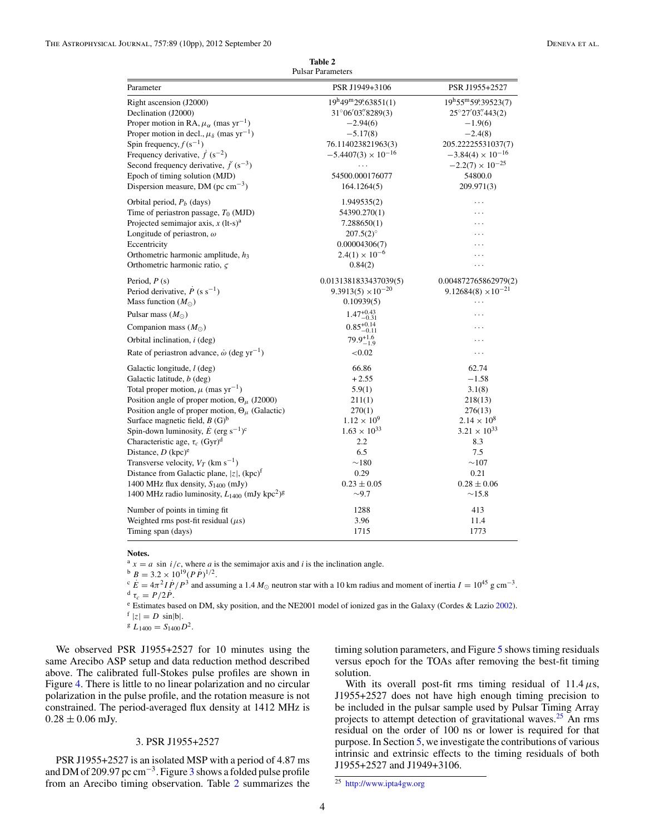**Table 2** Pulsar Parameters

<span id="page-4-0"></span>

| Parameter                                                                  | PSR J1949+3106               | PSR J1955+2527               |
|----------------------------------------------------------------------------|------------------------------|------------------------------|
| Right ascension (J2000)                                                    | 19h49m29563851(1)            | 19h55m599.39523(7)           |
| Declination (J2000)                                                        | $31^{\circ}06'03''8289(3)$   | 25°27′03″443(2)              |
| Proper motion in RA, $\mu_{\alpha}$ (mas yr <sup>-1</sup> )                | $-2.94(6)$                   | $-1.9(6)$                    |
| Proper motion in decl., $\mu_{\delta}$ (mas yr <sup>-1</sup> )             | $-5.17(8)$                   | $-2.4(8)$                    |
| Spin frequency, $f(s^{-1})$                                                | 76.114023821963(3)           | 205.22225531037(7)           |
| Frequency derivative, $\dot{f}(s^{-2})$                                    | $-5.4407(3) \times 10^{-16}$ | $-3.84(4) \times 10^{-16}$   |
| Second frequency derivative, $\ddot{f}(s^{-3})$                            | $\cdots$                     | $-2.2(7) \times 10^{-25}$    |
| Epoch of timing solution (MJD)                                             | 54500.000176077              | 54800.0                      |
| Dispersion measure, DM ( $pc \text{ cm}^{-3}$ )                            | 164.1264(5)                  | 209.971(3)                   |
| Orbital period, $P_b$ (days)                                               | 1.949535(2)                  | .                            |
| Time of periastron passage, $T_0$ (MJD)                                    | 54390.270(1)                 | $\cdots$                     |
| Projected semimajor axis, $x$ (lt-s) <sup>a</sup>                          | 7.288650(1)                  | .                            |
| Longitude of periastron, $\omega$                                          | $207.5(2)$ °                 |                              |
| Eccentricity                                                               | 0.00004306(7)                | .                            |
| Orthometric harmonic amplitude, $h_3$                                      | $2.4(1) \times 10^{-6}$      | .                            |
| Orthometric harmonic ratio, $\zeta$                                        | 0.84(2)                      | .                            |
| Period, $P(s)$                                                             | 0.0131381833437039(5)        | 0.004872765862979(2)         |
| Period derivative, $\dot{P}$ (s s <sup>-1</sup> )                          | $9.3913(5) \times 10^{-20}$  | $9.12684(8) \times 10^{-21}$ |
| Mass function $(M_{\odot})$                                                | 0.10939(5)                   | .                            |
| Pulsar mass $(M_{\odot})$                                                  | $1.47^{+0.43}_{-0.31}$       | .                            |
| Companion mass $(M_{\odot})$                                               | $0.85_{-0.11}^{+0.14}$       | .                            |
| Orbital inclination, $i$ (deg)                                             | $79.9^{+1.6}_{-1.9}$         | .                            |
| Rate of periastron advance, $\dot{\omega}$ (deg yr <sup>-1</sup> )         | ${<}0.02$                    | .                            |
| Galactic longitude, <i>l</i> (deg)                                         | 66.86                        | 62.74                        |
| Galactic latitude, <i>b</i> (deg)                                          | $+2.55$                      | $-1.58$                      |
| Total proper motion, $\mu$ (mas yr <sup>-1</sup> )                         | 5.9(1)                       | 3.1(8)                       |
| Position angle of proper motion, $\Theta_{\mu}$ (J2000)                    | 211(1)                       | 218(13)                      |
| Position angle of proper motion, $\Theta_{\mu}$ (Galactic)                 | 270(1)                       | 276(13)                      |
| Surface magnetic field, $B(G)^b$                                           | $1.12 \times 10^{9}$         | $2.14 \times 10^8$           |
| Spin-down luminosity, $\dot{E}$ (erg s <sup>-1</sup> ) <sup>c</sup>        | $1.63 \times 10^{33}$        | $3.21 \times 10^{33}$        |
| Characteristic age, $\tau_c$ (Gyr) <sup>d</sup>                            | 2.2                          | 8.3                          |
| Distance, $D$ (kpc) <sup>e</sup>                                           | 6.5                          | 7.5                          |
| Transverse velocity, $V_T$ (km s <sup>-1</sup> )                           | $\sim$ 180                   | $\sim$ 107                   |
| Distance from Galactic plane, $ z $ , (kpc) <sup>f</sup>                   | 0.29                         | 0.21                         |
| 1400 MHz flux density, $S_{1400}$ (mJy)                                    | $0.23 \pm 0.05$              | $0.28 \pm 0.06$              |
| 1400 MHz radio luminosity, $L_{1400}$ (mJy kpc <sup>2</sup> ) <sup>g</sup> | $\sim$ 9.7                   | $\sim$ 15.8                  |
| Number of points in timing fit.                                            | 1288                         | 413                          |
| Weighted rms post-fit residual $(\mu s)$                                   | 3.96                         | 11.4                         |
| Timing span (days)                                                         | 1715                         | 1773                         |

#### **Notes.**

 $B = 3.2 \times 10^{19} (P \dot{P})^{1/2}.$ 

<sup>a</sup> *x* = *a* sin *i*/*c*, where *a* is the semimajor axis and *i* is the inclination angle.<br>
<sup>b</sup> *B* = 3.2 × 10<sup>19</sup>(*PP*)<sup>1/2</sup>.<br>
<sup>c</sup> *E* = 4 $\pi$ <sup>2</sup>*IP*/*P*<sup>3</sup> and assuming a 1.4 *M*<sub>○</sub> neutron star with a 10 km radius an <sup>d</sup>  $\tau_c = P/2\dot{P}$ .<br>
<sup>e</sup> Estimates based on DM, sky position, and the NE2001 model of ionized gas in the Galaxy (Cordes & Lazio [2002\)](#page-10-0).<br>
<sup>f</sup> |z| = D sin|b|.

 $E_{1400} = S_{1400}D^2.$ 

We observed PSR J1955+2527 for 10 minutes using the same Arecibo ASP setup and data reduction method described above. The calibrated full-Stokes pulse profiles are shown in Figure [4.](#page-5-0) There is little to no linear polarization and no circular polarization in the pulse profile, and the rotation measure is not constrained. The period-averaged flux density at 1412 MHz is  $0.28 \pm 0.06$  mJy.

## 3. PSR J1955+2527

PSR J1955+2527 is an isolated MSP with a period of 4.87 ms and DM of 209.97 pc cm−3. Figure [3](#page-5-0) shows a folded pulse profile from an Arecibo timing observation. Table 2 summarizes the

timing solution parameters, and Figure [5](#page-6-0) shows timing residuals versus epoch for the TOAs after removing the best-fit timing solution.

With its overall post-fit rms timing residual of  $11.4 \mu s$ , J1955+2527 does not have high enough timing precision to be included in the pulsar sample used by Pulsar Timing Array projects to attempt detection of gravitational waves.25 An rms residual on the order of 100 ns or lower is required for that purpose. In Section [5,](#page-7-0) we investigate the contributions of various intrinsic and extrinsic effects to the timing residuals of both J1955+2527 and J1949+3106.

<sup>25</sup> <http://www.ipta4gw.org>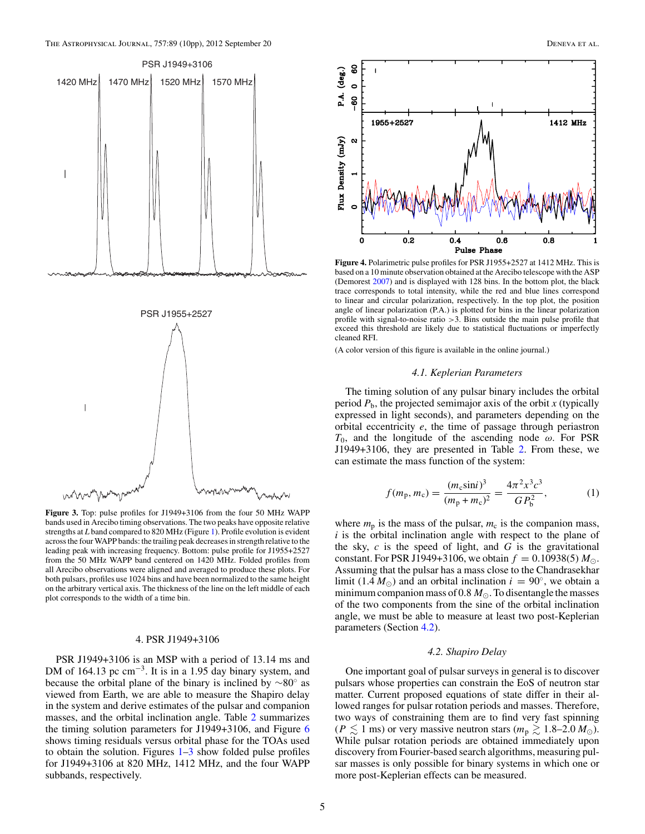<span id="page-5-0"></span>



**Figure 3.** Top: pulse profiles for J1949+3106 from the four 50 MHz WAPP bands used in Arecibo timing observations. The two peaks have opposite relative strengths at *L* band compared to 820 MHz (Figure [1\)](#page-3-0). Profile evolution is evident across the four WAPP bands: the trailing peak decreases in strength relative to the leading peak with increasing frequency. Bottom: pulse profile for J1955+2527 from the 50 MHz WAPP band centered on 1420 MHz. Folded profiles from all Arecibo observations were aligned and averaged to produce these plots. For both pulsars, profiles use 1024 bins and have been normalized to the same height on the arbitrary vertical axis. The thickness of the line on the left middle of each plot corresponds to the width of a time bin.

#### 4. PSR J1949+3106

PSR J1949+3106 is an MSP with a period of 13.14 ms and DM of 164.13 pc  $cm^{-3}$ . It is in a 1.95 day binary system, and because the orbital plane of the binary is inclined by ∼80◦ as viewed from Earth, we are able to measure the Shapiro delay in the system and derive estimates of the pulsar and companion masses, and the orbital inclination angle. Table [2](#page-4-0) summarizes the timing solution parameters for J1949+3106, and Figure [6](#page-7-0) shows timing residuals versus orbital phase for the TOAs used to obtain the solution. Figures  $1-3$  show folded pulse profiles for J1949+3106 at 820 MHz, 1412 MHz, and the four WAPP subbands, respectively.



**Figure 4.** Polarimetric pulse profiles for PSR J1955+2527 at 1412 MHz. This is based on a 10 minute observation obtained at the Arecibo telescope with the ASP (Demorest [2007\)](#page-10-0) and is displayed with 128 bins. In the bottom plot, the black trace corresponds to total intensity, while the red and blue lines correspond to linear and circular polarization, respectively. In the top plot, the position angle of linear polarization (P.A.) is plotted for bins in the linear polarization profile with signal-to-noise ratio *>*3. Bins outside the main pulse profile that exceed this threshold are likely due to statistical fluctuations or imperfectly cleaned RFI.

(A color version of this figure is available in the online journal.)

#### *4.1. Keplerian Parameters*

The timing solution of any pulsar binary includes the orbital period  $P_b$ , the projected semimajor axis of the orbit  $x$  (typically expressed in light seconds), and parameters depending on the orbital eccentricity *e*, the time of passage through periastron *T*0, and the longitude of the ascending node *ω*. For PSR J1949+3106, they are presented in Table [2.](#page-4-0) From these, we can estimate the mass function of the system:

$$
f(m_{\rm p}, m_{\rm c}) = \frac{(m_{\rm c} \sin i)^3}{(m_{\rm p} + m_{\rm c})^2} = \frac{4\pi^2 x^3 c^3}{G P_{\rm b}^2},\tag{1}
$$

where  $m_p$  is the mass of the pulsar,  $m_c$  is the companion mass, *i* is the orbital inclination angle with respect to the plane of the sky, *c* is the speed of light, and *G* is the gravitational constant. For PSR J1949+3106, we obtain  $f = 0.10938(5) M_{\odot}$ . Assuming that the pulsar has a mass close to the Chandrasekhar limit (1.4  $M_{\odot}$ ) and an orbital inclination  $i = 90^{\circ}$ , we obtain a minimum companion mass of 0.8  $M_{\odot}$ . To disentangle the masses of the two components from the sine of the orbital inclination angle, we must be able to measure at least two post-Keplerian parameters (Section 4.2).

#### *4.2. Shapiro Delay*

One important goal of pulsar surveys in general is to discover pulsars whose properties can constrain the EoS of neutron star matter. Current proposed equations of state differ in their allowed ranges for pulsar rotation periods and masses. Therefore, two ways of constraining them are to find very fast spinning  $(P \lesssim 1 \text{ ms})$  or very massive neutron stars  $(m_p \gtrsim 1.8-2.0 \, M_\odot)$ . While pulsar rotation periods are obtained immediately upon discovery from Fourier-based search algorithms, measuring pulsar masses is only possible for binary systems in which one or more post-Keplerian effects can be measured.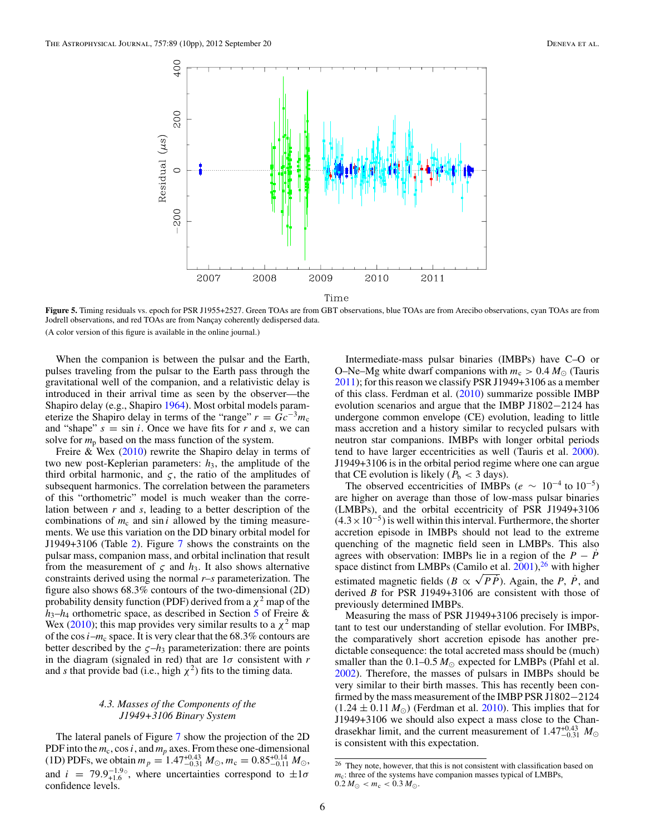<span id="page-6-0"></span>

**Figure 5.** Timing residuals vs. epoch for PSR J1955+2527. Green TOAs are from GBT observations, blue TOAs are from Arecibo observations, cyan TOAs are from Jodrell observations, and red TOAs are from Nançay coherently dedispersed data. (A color version of this figure is available in the online journal.)

When the companion is between the pulsar and the Earth, pulses traveling from the pulsar to the Earth pass through the gravitational well of the companion, and a relativistic delay is introduced in their arrival time as seen by the observer—the Shapiro delay (e.g., Shapiro [1964\)](#page-10-0). Most orbital models parameterize the Shapiro delay in terms of the "range"  $r = Gc^{-3}m_c$ and "shape"  $s = \sin i$ . Once we have fits for *r* and *s*, we can solve for  $m_p$  based on the mass function of the system.

Freire  $&$  Wex [\(2010\)](#page-10-0) rewrite the Shapiro delay in terms of two new post-Keplerian parameters:  $h_3$ , the amplitude of the third orbital harmonic, and  $\zeta$ , the ratio of the amplitudes of subsequent harmonics. The correlation between the parameters of this "orthometric" model is much weaker than the correlation between *r* and *s*, leading to a better description of the combinations of  $m_c$  and  $\sin i$  allowed by the timing measurements. We use this variation on the DD binary orbital model for J1949+3106 (Table [2\)](#page-4-0). Figure [7](#page-8-0) shows the constraints on the pulsar mass, companion mass, and orbital inclination that result from the measurement of  $\zeta$  and  $h_3$ . It also shows alternative constraints derived using the normal *r*–*s* parameterization. The figure also shows 68.3% contours of the two-dimensional (2D) probability density function (PDF) derived from a  $\chi^2$  map of the *h*3–*h*<sup>4</sup> orthometric space, as described in Section [5](#page-7-0) of Freire & Wex [\(2010\)](#page-10-0); this map provides very similar results to a  $\chi^2$  map of the cos  $i-m_c$  space. It is very clear that the 68.3% contours are better described by the  $\zeta$ – $h_3$  parameterization: there are points in the diagram (signaled in red) that are 1*σ* consistent with *r* and *s* that provide bad (i.e., high  $\chi^2$ ) fits to the timing data.

## *4.3. Masses of the Components of the J1949+3106 Binary System*

The lateral panels of Figure [7](#page-8-0) show the projection of the 2D PDF into the  $m_c$ , cos *i*, and  $m_p$  axes. From these one-dimensional (1D) PDFs, we obtain  $m_p = 1.47^{+0.43}_{-0.31} M_{\odot}$ ,  $m_c = 0.85^{+0.14}_{-0.11} M_{\odot}$ , and  $i = 79.9_{+1.6}^{-1.9}$ , where uncertainties correspond to  $\pm 1\sigma$ confidence levels.

Intermediate-mass pulsar binaries (IMBPs) have C–O or O–Ne–Mg white dwarf companions with  $m_c > 0.4 M_{\odot}$  (Tauris [2011\)](#page-10-0); for this reason we classify PSR J1949+3106 as a member of this class. Ferdman et al. [\(2010\)](#page-10-0) summarize possible IMBP evolution scenarios and argue that the IMBP J1802−2124 has undergone common envelope (CE) evolution, leading to little mass accretion and a history similar to recycled pulsars with neutron star companions. IMBPs with longer orbital periods tend to have larger eccentricities as well (Tauris et al. [2000\)](#page-10-0). J1949+3106 is in the orbital period regime where one can argue that CE evolution is likely ( $P<sub>b</sub> < 3$  days).

The observed eccentricities of IMBPs ( $e \sim 10^{-4}$  to  $10^{-5}$ ) are higher on average than those of low-mass pulsar binaries (LMBPs), and the orbital eccentricity of PSR J1949+3106  $(4.3 \times 10^{-5})$  is well within this interval. Furthermore, the shorter accretion episode in IMBPs should not lead to the extreme quenching of the magnetic field seen in LMBPs. This also agrees with observation: IMBPs lie in a region of the  $P - P$ <sup> $\dagger$ </sup> space distinct from LMBPs (Camilo et al.  $2001$ ),<sup>26</sup> with higher estimated magnetic fields ( $B \propto \sqrt{P\dot{P}}$ ). Again, the *P*,  $\dot{P}$ , and derived *B* for PSR J1949+3106 are consistent with those of previously determined IMBPs.

Measuring the mass of PSR J1949+3106 precisely is important to test our understanding of stellar evolution. For IMBPs, the comparatively short accretion episode has another predictable consequence: the total accreted mass should be (much) smaller than the  $0.1-0.5 M_{\odot}$  expected for LMBPs (Pfahl et al. [2002\)](#page-10-0). Therefore, the masses of pulsars in IMBPs should be very similar to their birth masses. This has recently been confirmed by the mass measurement of the IMBP PSR J1802−2124  $(1.24 \pm 0.11 M_{\odot})$  (Ferdman et al. [2010\)](#page-10-0). This implies that for J1949+3106 we should also expect a mass close to the Chandrasekhar limit, and the current measurement of  $1.47^{+0.43}_{-0.31}$   $M_{\odot}$ is consistent with this expectation.

<sup>&</sup>lt;sup>26</sup> They note, however, that this is not consistent with classification based on  $m_c$ : three of the systems have companion masses typical of LMBPs,  $0.2 M_{\odot} < m_{\rm c} < 0.3 M_{\odot}$ .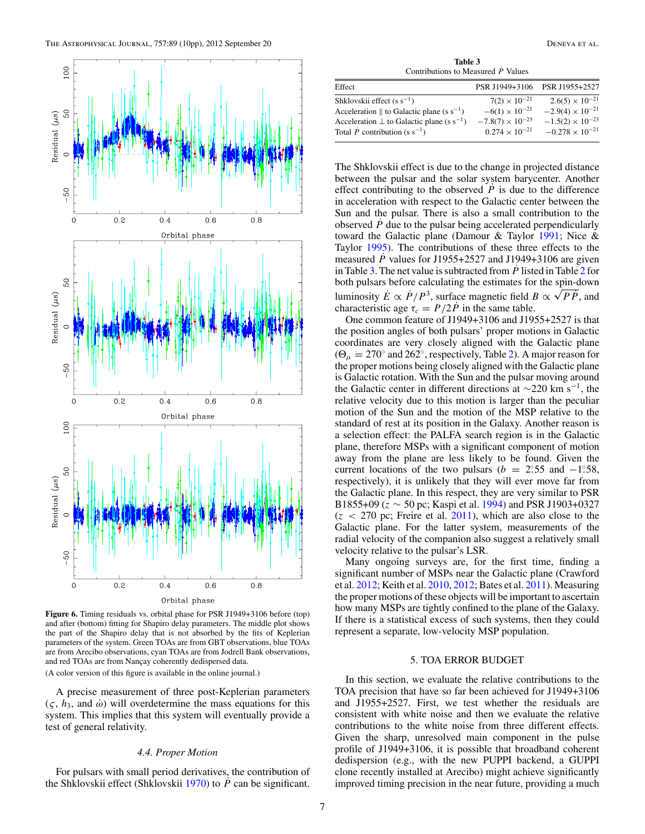<span id="page-7-0"></span>

**Figure 6.** Timing residuals vs. orbital phase for PSR J1949+3106 before (top) and after (bottom) fitting for Shapiro delay parameters. The middle plot shows the part of the Shapiro delay that is not absorbed by the fits of Keplerian parameters of the system. Green TOAs are from GBT observations, blue TOAs are from Arecibo observations, cyan TOAs are from Jodrell Bank observations, and red TOAs are from Nançay coherently dedispersed data. (A color version of this figure is available in the online journal.)

A precise measurement of three post-Keplerian parameters  $(\varsigma, h_3, \text{ and } \omega)$  will overdetermine the mass equations for this system. This implies that this system will eventually provide a test of general relativity.

#### *4.4. Proper Motion*

For pulsars with small period derivatives, the contribution of the Shklovskii effect (Shklovskii [1970\)](#page-10-0) to *P*˙ can be significant.

**Table 3** Contributions to Measured  $\dot{P}$  Values

| Effect                                                          | PSR J1949+3106            | PSR J1955+2527            |
|-----------------------------------------------------------------|---------------------------|---------------------------|
| Shklovskii effect (s $s^{-1}$ )                                 | $7(2) \times 10^{-21}$    | $2.6(5) \times 10^{-21}$  |
| Acceleration $\parallel$ to Galactic plane (s s <sup>-1</sup> ) | $-6(1) \times 10^{-21}$   | $-2.9(4) \times 10^{-21}$ |
| Acceleration $\perp$ to Galactic plane (s s <sup>-1</sup> )     | $-7.8(7) \times 10^{-23}$ | $-1.5(2) \times 10^{-23}$ |
| Total $\dot{P}$ contribution (s s <sup>-1</sup> )               | $0.274 \times 10^{-21}$   | $-0.278 \times 10^{-21}$  |
|                                                                 |                           |                           |

The Shklovskii effect is due to the change in projected distance between the pulsar and the solar system barycenter. Another effect contributing to the observed  $\vec{P}$  is due to the difference in acceleration with respect to the Galactic center between the Sun and the pulsar. There is also a small contribution to the observed *P*˙ due to the pulsar being accelerated perpendicularly toward the Galactic plane (Damour & Taylor [1991;](#page-10-0) Nice & Taylor [1995\)](#page-10-0). The contributions of these three effects to the measured  $\dot{P}$  values for J1955+2527 and J1949+3106 are given in Table 3. The net value is subtracted from *P*˙ listed in Table [2](#page-4-0) for both pulsars before calculating the estimates for the spin-down luminosity  $\vec{E} \propto \vec{P}/P^3$ , surface magnetic field  $B \propto \sqrt{P\vec{P}}$ , and characteristic age  $\tau_c = P/2P$  in the same table.

One common feature of J1949+3106 and J1955+2527 is that the position angles of both pulsars' proper motions in Galactic coordinates are very closely aligned with the Galactic plane  $(\Theta_{\mu} = 270^{\circ}$  and 262<sup>°</sup>, respectively, Table [2\)](#page-4-0). A major reason for the proper motions being closely aligned with the Galactic plane is Galactic rotation. With the Sun and the pulsar moving around the Galactic center in different directions at  $\sim$ 220 km s<sup>-1</sup>, the relative velocity due to this motion is larger than the peculiar motion of the Sun and the motion of the MSP relative to the standard of rest at its position in the Galaxy. Another reason is a selection effect: the PALFA search region is in the Galactic plane, therefore MSPs with a significant component of motion away from the plane are less likely to be found. Given the current locations of the two pulsars ( $b = 2.55$  and  $-1.58$ , respectively), it is unlikely that they will ever move far from the Galactic plane. In this respect, they are very similar to PSR B1855+09 (*z* ∼ 50 pc; Kaspi et al. [1994\)](#page-10-0) and PSR J1903+0327 (*z <* 270 pc; Freire et al. [2011\)](#page-10-0), which are also close to the Galactic plane. For the latter system, measurements of the radial velocity of the companion also suggest a relatively small velocity relative to the pulsar's LSR.

Many ongoing surveys are, for the first time, finding a significant number of MSPs near the Galactic plane (Crawford et al. [2012;](#page-10-0) Keith et al. [2010,](#page-10-0) [2012;](#page-10-0) Bates et al. [2011\)](#page-10-0). Measuring the proper motions of these objects will be important to ascertain how many MSPs are tightly confined to the plane of the Galaxy. If there is a statistical excess of such systems, then they could represent a separate, low-velocity MSP population.

## 5. TOA ERROR BUDGET

In this section, we evaluate the relative contributions to the TOA precision that have so far been achieved for J1949+3106 and J1955+2527. First, we test whether the residuals are consistent with white noise and then we evaluate the relative contributions to the white noise from three different effects. Given the sharp, unresolved main component in the pulse profile of J1949+3106, it is possible that broadband coherent dedispersion (e.g., with the new PUPPI backend, a GUPPI clone recently installed at Arecibo) might achieve significantly improved timing precision in the near future, providing a much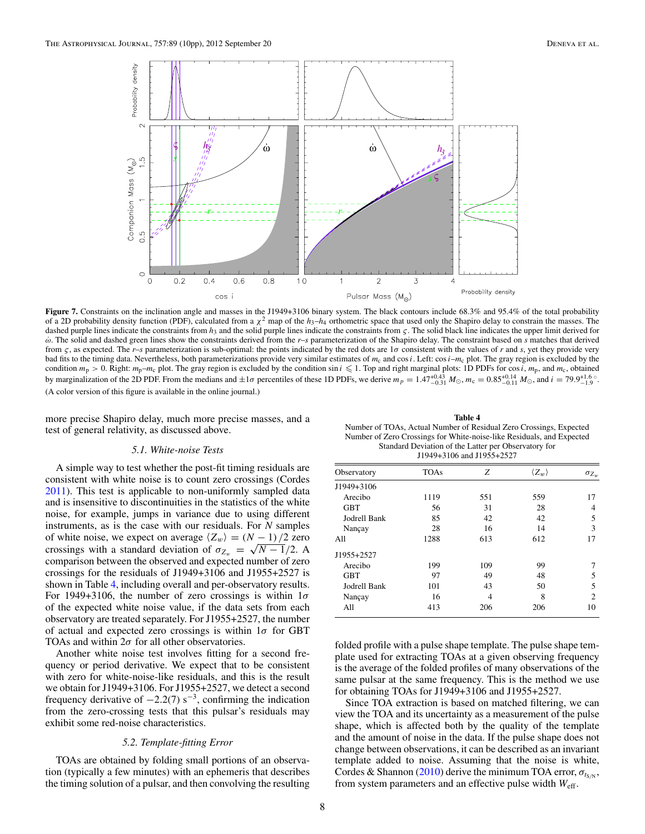<span id="page-8-0"></span>

Figure 7. Constraints on the inclination angle and masses in the J1949+3106 binary system. The black contours include 68.3% and 95.4% of the total probability of a 2D probability density function (PDF), calculated from a *χ*<sup>2</sup> map of the *h*3–*h*<sup>4</sup> orthometric space that used only the Shapiro delay to constrain the masses. The dashed purple lines indicate the constraints from *h*<sub>3</sub> and the solid purple lines indicate the constraints from *ς*. The solid black line indicates the upper limit derived for *ω*˙. The solid and dashed green lines show the constraints derived from the *r*–*s* parameterization of the Shapiro delay. The constraint based on *s* matches that derived from  $\zeta$ , as expected. The *r*–*s* parameterization is sub-optimal: the points indicated by the red dots are  $1\sigma$  consistent with the values of *r* and *s*, yet they provide very bad fits to the timing data. Nevertheless, both parameterizations provide very similar estimates of  $m_c$  and  $\cos i$ . Left:  $\cos i$ – $m_c$  plot. The gray region is excluded by the condition  $m_p > 0$ . Right:  $m_p - m_c$  plot. The gray region is excluded by the condition sin  $i \leq 1$ . Top and right marginal plots: 1D PDFs for cos *i*,  $m_p$ , and  $m_c$ , obtained by marginalization of the 2D PDF. From the medians and  $\pm 1\sigma$  percentiles of these 1D PDFs, we derive  $m_p = 1.47^{+0.43}_{-0.31} M_{\odot}$ ,  $m_c = 0.85^{+0.14}_{-0.11} M_{\odot}$ , and  $i = 79.9^{+1.6}_{-1.9}$ . (A color version of this figure is available in the online journal.)

more precise Shapiro delay, much more precise masses, and a test of general relativity, as discussed above.

## *5.1. White-noise Tests*

A simple way to test whether the post-fit timing residuals are consistent with white noise is to count zero crossings (Cordes [2011\)](#page-10-0). This test is applicable to non-uniformly sampled data and is insensitive to discontinuities in the statistics of the white noise, for example, jumps in variance due to using different instruments, as is the case with our residuals. For *N* samples of white noise, we expect on average  $\langle Z_w \rangle = (N - 1)/2$  zero crossings with a standard deviation of  $\sigma_{Z_w} = \sqrt{N-1/2}$ . A comparison between the observed and expected number of zero crossings for the residuals of J1949+3106 and J1955+2527 is shown in Table 4, including overall and per-observatory results. For 1949+3106, the number of zero crossings is within 1*σ* of the expected white noise value, if the data sets from each observatory are treated separately. For J1955+2527, the number of actual and expected zero crossings is within 1*σ* for GBT TOAs and within  $2\sigma$  for all other observatories.

Another white noise test involves fitting for a second frequency or period derivative. We expect that to be consistent with zero for white-noise-like residuals, and this is the result we obtain for J1949+3106. For J1955+2527, we detect a second frequency derivative of  $-2.2(7)$  s<sup>-3</sup>, confirming the indication from the zero-crossing tests that this pulsar's residuals may exhibit some red-noise characteristics.

#### *5.2. Template-fitting Error*

TOAs are obtained by folding small portions of an observation (typically a few minutes) with an ephemeris that describes the timing solution of a pulsar, and then convolving the resulting

**Table 4** Number of TOAs, Actual Number of Residual Zero Crossings, Expected Number of Zero Crossings for White-noise-like Residuals, and Expected Standard Deviation of the Latter per Observatory for J1949+3106 and J1955+2527

| Observatory  | <b>TOAs</b> | Z              | $\langle Z_w \rangle$ | $\sigma_{Z_w}$              |
|--------------|-------------|----------------|-----------------------|-----------------------------|
| J1949+3106   |             |                |                       |                             |
| Arecibo      | 1119        | 551            | 559                   | 17                          |
| <b>GBT</b>   | 56          | 31             | 28                    | 4                           |
| Jodrell Bank | 85          | 42             | 42                    | 5                           |
| Nançay       | 28          | 16             | 14                    | 3                           |
| All          | 1288        | 613            | 612                   | 17                          |
| J1955+2527   |             |                |                       |                             |
| Arecibo      | 199         | 109            | 99                    |                             |
| <b>GBT</b>   | 97          | 49             | 48                    | 5                           |
| Jodrell Bank | 101         | 43             | 50                    | 5                           |
| Nançay       | 16          | $\overline{4}$ | 8                     | $\mathcal{D}_{\mathcal{L}}$ |
| All          | 413         | 206            | 206                   | 10                          |

folded profile with a pulse shape template. The pulse shape template used for extracting TOAs at a given observing frequency is the average of the folded profiles of many observations of the same pulsar at the same frequency. This is the method we use for obtaining TOAs for J1949+3106 and J1955+2527.

Since TOA extraction is based on matched filtering, we can view the TOA and its uncertainty as a measurement of the pulse shape, which is affected both by the quality of the template and the amount of noise in the data. If the pulse shape does not change between observations, it can be described as an invariant template added to noise. Assuming that the noise is white, Cordes & Shannon [\(2010\)](#page-10-0) derive the minimum TOA error,  $\sigma_{tSN}$ , from system parameters and an effective pulse width *W*eff.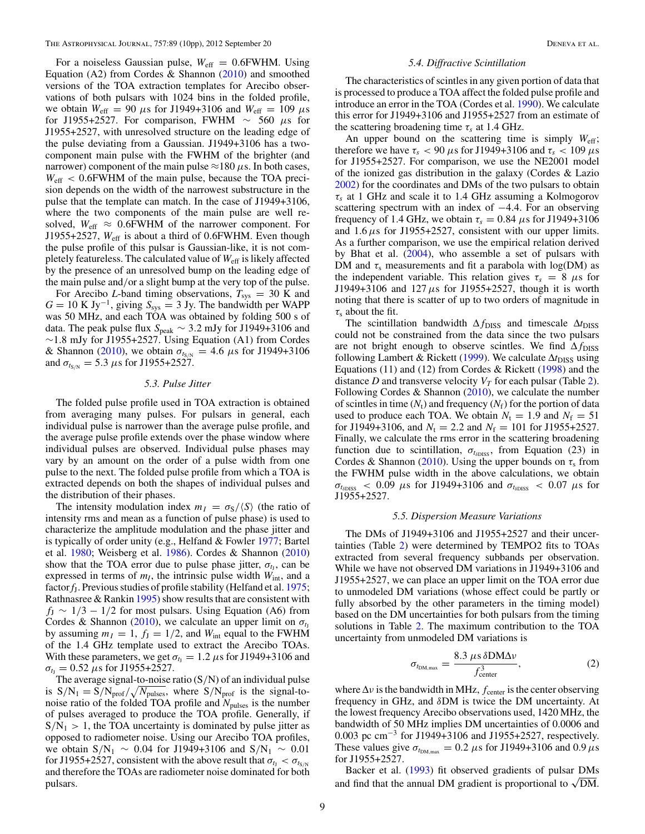For a noiseless Gaussian pulse,  $W_{\text{eff}} = 0.6$  FWHM. Using Equation (A2) from Cordes & Shannon [\(2010\)](#page-10-0) and smoothed versions of the TOA extraction templates for Arecibo observations of both pulsars with 1024 bins in the folded profile, we obtain  $W_{\text{eff}} = 90 \mu s$  for J1949+3106 and  $W_{\text{eff}} = 109 \mu s$ for J1955+2527. For comparison, FWHM ∼ 560 *μ*s for J1955+2527, with unresolved structure on the leading edge of the pulse deviating from a Gaussian. J1949+3106 has a twocomponent main pulse with the FWHM of the brighter (and narrower) component of the main pulse  $\approx$ 180  $\mu$ s. In both cases, *W*eff *<* 0*.*6FWHM of the main pulse, because the TOA precision depends on the width of the narrowest substructure in the pulse that the template can match. In the case of J1949+3106, where the two components of the main pulse are well resolved,  $W_{\text{eff}} \approx 0.6$ FWHM of the narrower component. For J1955+2527, *W*eff is about a third of 0*.*6FWHM. Even though the pulse profile of this pulsar is Gaussian-like, it is not completely featureless. The calculated value of *W*eff is likely affected by the presence of an unresolved bump on the leading edge of the main pulse and*/*or a slight bump at the very top of the pulse.

For Arecibo *L*-band timing observations,  $T_{sys} = 30$  K and  $G = 10 \text{ K Jy}^{-1}$ , giving  $S_{sys} = 3 \text{ Jy}$ . The bandwidth per WAPP was 50 MHz, and each TOA was obtained by folding 500 s of data. The peak pulse flux *S*peak ∼ 3*.*2 mJy for J1949+3106 and ∼1*.*8 mJy for J1955+2527. Using Equation (A1) from Cordes & Shannon [\(2010\)](#page-10-0), we obtain  $\sigma_{t_{S/N}} = 4.6 \mu s$  for J1949+3106 and  $\sigma_{t_{S/N}} = 5.3 \,\mu s$  for J1955+2527.

## *5.3. Pulse Jitter*

The folded pulse profile used in TOA extraction is obtained from averaging many pulses. For pulsars in general, each individual pulse is narrower than the average pulse profile, and the average pulse profile extends over the phase window where individual pulses are observed. Individual pulse phases may vary by an amount on the order of a pulse width from one pulse to the next. The folded pulse profile from which a TOA is extracted depends on both the shapes of individual pulses and the distribution of their phases.

The intensity modulation index  $m<sub>I</sub> = \sigma<sub>S</sub> / \langle S \rangle$  (the ratio of intensity rms and mean as a function of pulse phase) is used to characterize the amplitude modulation and the phase jitter and is typically of order unity (e.g., Helfand & Fowler [1977;](#page-10-0) Bartel et al. [1980;](#page-10-0) Weisberg et al. [1986\)](#page-10-0). Cordes & Shannon [\(2010\)](#page-10-0) show that the TOA error due to pulse phase jitter,  $\sigma_t$ , can be expressed in terms of  $m<sub>I</sub>$ , the intrinsic pulse width  $W<sub>int</sub>$ , and a factor*f*J. Previous studies of profile stability (Helfand et al. [1975;](#page-10-0) Rathnasree & Rankin  $1995$ ) show results that are consistent with  $f_J \sim 1/3 - 1/2$  for most pulsars. Using Equation (A6) from Cordes & Shannon [\(2010\)](#page-10-0), we calculate an upper limit on  $\sigma_{t_1}$ by assuming  $m_I = 1$ ,  $f_J = 1/2$ , and  $W_{int}$  equal to the FWHM of the 1.4 GHz template used to extract the Arecibo TOAs. With these parameters, we get  $\sigma_{t_1} = 1.2 \,\mu s$  for J1949+3106 and  $\sigma_{t_1} = 0.52 \,\mu s$  for J1955+2527.

The average signal-to-noise ratio (S*/*N) of an individual pulse is  $S/N_1 = S/N_{\text{prof}}/\sqrt{N_{\text{pulses}}}$ , where  $S/N_{\text{prof}}$  is the signal-tonoise ratio of the folded TOA profile and *N*<sub>pulses</sub> is the number of pulses averaged to produce the TOA profile. Generally, if  $S/N_1 > 1$ , the TOA uncertainty is dominated by pulse jitter as opposed to radiometer noise. Using our Arecibo TOA profiles, we obtain S*/*N1 ∼ 0*.*04 for J1949+3106 and S*/*N1 ∼ 0*.*01 for J1955+2527, consistent with the above result that  $\sigma_{t_1} < \sigma_{t_{S/N}}$ and therefore the TOAs are radiometer noise dominated for both pulsars.

#### *5.4. Diffractive Scintillation*

The characteristics of scintles in any given portion of data that is processed to produce a TOA affect the folded pulse profile and introduce an error in the TOA (Cordes et al. [1990\)](#page-10-0). We calculate this error for J1949+3106 and J1955+2527 from an estimate of the scattering broadening time  $\tau_s$  at 1.4 GHz.

An upper bound on the scattering time is simply *W*eff; therefore we have  $\tau_s$  < 90  $\mu$ s for J1949+3106 and  $\tau_s$  < 109  $\mu$ s for J1955+2527. For comparison, we use the NE2001 model of the ionized gas distribution in the galaxy (Cordes & Lazio [2002\)](#page-10-0) for the coordinates and DMs of the two pulsars to obtain *τs* at 1 GHz and scale it to 1.4 GHz assuming a Kolmogorov scattering spectrum with an index of −4*.*4. For an observing frequency of 1.4 GHz, we obtain  $\tau_s = 0.84 \ \mu s$  for J1949+3106 and  $1.6 \mu s$  for J1955+2527, consistent with our upper limits. As a further comparison, we use the empirical relation derived by Bhat et al. [\(2004\)](#page-10-0), who assemble a set of pulsars with DM and  $\tau_s$  measurements and fit a parabola with  $log(DM)$  as the independent variable. This relation gives  $\tau_s = 8 \mu s$  for J1949+3106 and 127  $\mu$ s for J1955+2527, though it is worth noting that there is scatter of up to two orders of magnitude in *τ*<sup>s</sup> about the fit.

The scintillation bandwidth  $\Delta f_{\text{DISS}}$  and timescale  $\Delta t_{\text{DISS}}$ could not be constrained from the data since the two pulsars are not bright enough to observe scintles. We find  $\Delta f_{\text{DISS}}$ following Lambert & Rickett [\(1999\)](#page-10-0). We calculate Δt<sub>DISS</sub> using Equations (11) and (12) from Cordes & Rickett [\(1998\)](#page-10-0) and the distance *D* and transverse velocity  $V_T$  for each pulsar (Table [2\)](#page-4-0). Following Cordes & Shannon  $(2010)$ , we calculate the number of scintles in time  $(N_t)$  and frequency  $(N_f)$  for the portion of data used to produce each TOA. We obtain  $N_t = 1.9$  and  $N_f = 51$ for J1949+3106, and  $N_t = 2.2$  and  $N_f = 101$  for J1955+2527. Finally, we calculate the rms error in the scattering broadening function due to scintillation,  $\sigma_{t_{\delta\text{DISS}}}$ , from Equation (23) in Cordes & Shannon [\(2010\)](#page-10-0). Using the upper bounds on  $\tau_s$  from the FWHM pulse width in the above calculations, we obtain  $\sigma_{t_{\text{SDISS}}}$  < 0.09 *μ*s for J1949+3106 and  $\sigma_{t_{\text{SDISS}}}$  < 0.07 *μ*s for J1955+2527.

#### *5.5. Dispersion Measure Variations*

The DMs of J1949+3106 and J1955+2527 and their uncertainties (Table [2\)](#page-4-0) were determined by TEMPO2 fits to TOAs extracted from several frequency subbands per observation. While we have not observed DM variations in J1949+3106 and J1955+2527, we can place an upper limit on the TOA error due to unmodeled DM variations (whose effect could be partly or fully absorbed by the other parameters in the timing model) based on the DM uncertainties for both pulsars from the timing solutions in Table [2.](#page-4-0) The maximum contribution to the TOA uncertainty from unmodeled DM variations is

$$
\sigma_{t_{\rm DM,max}} = \frac{8.3 \,\mu s \,\delta \rm{DM}\Delta \nu}{f_{\rm center}^3},\tag{2}
$$

where  $\Delta v$  is the bandwidth in MHz,  $f_{\text{center}}$  is the center observing frequency in GHz, and *δ*DM is twice the DM uncertainty. At the lowest frequency Arecibo observations used, 1420 MHz, the bandwidth of 50 MHz implies DM uncertainties of 0.0006 and 0.003 pc cm<sup>-3</sup> for J1949+3106 and J1955+2527, respectively. These values give  $\sigma_{t_{\text{DM,max}}} = 0.2 \ \mu s$  for J1949+3106 and 0.9  $\mu s$ for J1955+2527.

Backer et al. [\(1993\)](#page-10-0) fit observed gradients of pulsar DMs and find that the annual DM gradient is proportional to  $\sqrt{DM}$ .